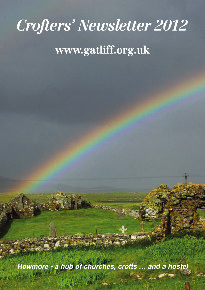# *Crofters' Newsletter 2012*

## **www.gatliff.org.uk**

*Howmore - a hub of churches, crofts … and a hostel*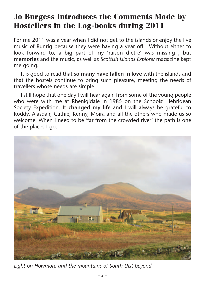#### **Jo Burgess Introduces the Comments Made by Hostellers in the Log-books during 2011**

For me 2011 was a year when I did not get to the islands or enjoy the live music of Runrig because they were having a year off. Without either to look forward to, a big part of my 'raison d'etre' was missing , but **memories** and the music, as well as *Scottish Islands Explorer* magazine kept me going.

It is good to read that **so many have fallen in love** with the islands and that the hostels continue to bring such pleasure, meeting the needs of travellers whose needs are simple.

I still hope that one day I will hear again from some of the young people who were with me at Rhenigidale in 1985 on the Schools' Hebridean Society Expedition. It **changed my life** and I will always be grateful to Roddy, Alasdair, Cathie, Kenny, Moira and all the others who made us so welcome. When I need to be 'far from the crowded river' the path is one of the places I go.



*Light on Howmore and the mountains of South Uist beyond*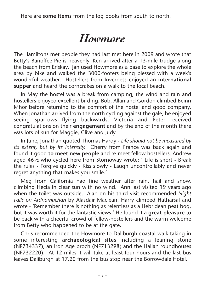Here are **some items** from the log books from south to north.

### *Howmore*

The Hamiltons met people they had last met here in 2009 and wrote that Betty's Banoffee Pie is heavenly. Ken arrived after a 13-mile trudge along the beach from Eriskay. Jan used Howmore as a base to explore the whole area by bike and walked the 3000-footers being blessed with a week's wonderful weather. Hostellers from Inverness enjoyed an **international supper** and heard the corncrakes on a walk to the local beach.

In May the hostel was a break from camping, the wind and rain and hostellers enjoyed excellent birding. Bob, Allan and Gordon climbed Beinn Mhor before returning to the comfort of the hostel and good company. When Jonathan arrived from the north cycling against the gale, he enjoyed seeing sparrows flying backwards. Victoria and Peter received congratulations on their **engagement** and by the end of the month there was lots of sun for Maggie, Clive and Judy.

In June, Jonathan quoted Thomas Hardy - *Life should not be measured by its extent, but by its intensity.* Cherry from France was back again and found it good **to meet new people** and re-meet fellow hostellers. Andrew aged 46½ who cycled here from Stornoway wrote: ' Life is short - Break the rules - Forgive quickly - Kiss slowly - Laugh uncontrollably and never regret anything that makes you smile.'

Meg from California had fine weather after rain, hail and snow, climbing Hecla in clear sun with no wind. Ann last visited 19 years ago when the toilet was outside. Alan on his third visit recommended *Night Falls on Ardnamuchan* by Alasdair Maclean. Harry climbed Hatharsal and wrote - 'Remember there is nothing as relentless as a Hebridean peat bog, but it was worth it for the fantastic views.' He found it a **great pleasure** to be back with a cheerful crowd of fellow-hostellers and the warm welcome from Betty who happened to be at the gate.

Chris recommended the Howmore to Daliburgh coastal walk taking in some interesting **archaeological sites** including a leaning stone (NF734337), an Iron Age broch (NF713298) and the Hallan roundhouses (NF732220). At 12 miles it will take at least four hours and the last bus leaves Daliburgh at 17.20 from the bus stop near the Borrowdale Hotel.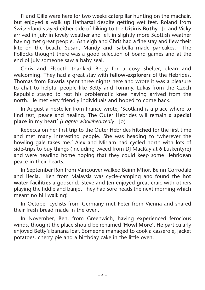Fi and Gille were here for two weeks caterpillar hunting on the machair, but enjoyed a walk up Hatharsal despite getting wet feet. Roland from Switzerland stayed either side of hiking to the **Uisinis Bothy.** Jo and Vicky arrived in July in lovely weather and left in slightly more Scottish weather having met great people. Ashleigh and Chris had a fine stay and flew their kite on the beach. Susan, Mandy and Isabella made pancakes. The Pollocks thought there was a good selection of board games and at the end of July someone saw a baby seal.

Chris and Elspeth thanked Betty for a cosy shelter, clean and welcoming. They had a great stay with **fellow-explorers** of the Hebrides. Thomas from Bavaria spent three nights here and wrote it was a pleasure to chat to helpful people like Betty and Tommy. Lukas from the Czech Republic stayed to rest his problematic knee having arrived from the north. He met very friendly individuals and hoped to come back.

In August a hosteller from France wrote, 'Scotland is a place where to find rest, peace and healing. The Outer Hebrides will remain a **special place** in my heart' *(I agree wholeheartedly* - Jo)

Rebecca on her first trip to the Outer Hebrides **hitched** for the first time and met many interesting people. She was heading to 'wherever the howling gale takes me.' Alex and Miriam had cycled north with lots of side-trips to buy things (including tweed from DJ MacKay at 6 Luskentyre) and were heading home hoping that they could keep some Hebridean peace in their hearts.

In September Ron from Vancouver walked Beinn Mhor, Beinn Corrodale and Hecla. Ken from Malaysia was cycle-camping and found the **hot water facilities** a godsend. Steve and Jen enjoyed great craic with others playing the fiddle and banjo. They had sore heads the next morning which meant no hill walking!

In October cyclists from Germany met Peter from Vienna and shared their fresh bread made in the oven.

In November, Ben, from Greenwich, having experienced ferocious winds, thought the place should be renamed '**Howl More**'. He particularly enjoyed Betty's banana loaf. Someone managed to cook a casserole, jacket potatoes, cherry pie and a birthday cake in the little oven.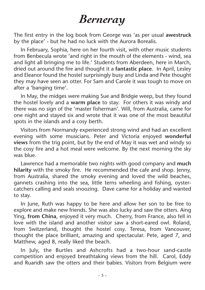#### *Berneray*

The first entry in the log book from George was 'as per usual **awestruck** by the place' - but he had no luck with the Aurora Borealis.

In February, Sophia, here on her fourth visit, with other music students from Benbecula wrote 'and right in the mouth of the elements - wind, sea and light all bringing me to life.' Students from Aberdeen, here in March, dried out around the fire and thought it a **fantastic place**. In April, Lesley and Eleanor found the hostel surprisingly busy and Linda and Pete thought they may have seen an otter. For Sam and Carole it was tough to move on after a 'banging time'.

In May, the midges were making Sue and Bridgie weep, but they found the hostel lovely and a **warm place** to stay. For others it was windy and there was no sign of the 'master fisherman'. Will, from Australia, came for one night and stayed six and wrote that it was one of the most beautiful spots in the islands and a cosy berth.

Visitors from Normandy experienced strong wind and had an excellent evening with some musicians. Peter and Victoria enjoyed **wonderful views** from the trig point, but by the end of May it was wet and windy so the cosy fire and a hot meal were welcome. By the next morning the sky was blue.

Lawrence had a memorable two nights with good company and **much hilarity** with the smoky fire. He recommended the cafe and shop. Jenny, from Australia, shared the smoky evening and loved the wild beaches, gannets crashing into the sea, little terns wheeling and fishing, oystercatchers calling and seals snoozing. Dave came for a holiday and wanted to stay.

In June, Ruth was happy to be here and allow her son to be free to explore and make new friends. She was also lucky and saw the otters. Aing Ying, **from China**, enjoyed it very much. Cherry, from France, also fell in love with the island and another visitor saw a short-eared owl. Roland, from Switzerland, thought the hostel cosy. Teresa, from Vancouver, thought the place brilliant, amazing and spectacular. Pete, aged 7, and Matthew, aged 8, really liked the beach.

In July, the Burtles and Ashcrofts had a two-hour sand-castle competition and enjoyed breathtaking views from the hill. Carol, Eddy and Ruaridh saw the otters and their babies. Visitors from Belgium were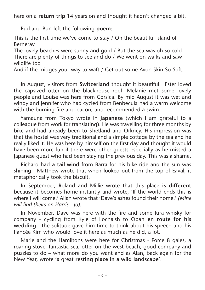here on a **return trip** 14 years on and thought it hadn't changed a bit.

Pud and Bun left the following **poem**:

This is the first time we've come to stay / On the beautiful island of Berneray

The lovely beaches were sunny and gold / But the sea was oh so cold There are plenty of things to see and do / We went on walks and saw wildlife too

And if the midges your way to waft / Get out some Avon Skin So Soft.

In August, visitors from **Switzerland** thought it beautiful. Ester loved the capsized otter on the blackhouse roof. Melanie met some lovely people and Louise was here from Corsica. By mid August it was wet and windy and Jennifer who had cycled from Benbecula had a warm welcome with the burning fire and bacon; and recommended a swim.

Yamauna from Tokyo wrote in **Japanese** (which I am grateful to a colleague from work for translating). He was travelling for three months by bike and had already been to Shetland and Orkney. His impression was that the hostel was very traditional and a simple cottage by the sea and he really liked it. He was here by himself on the first day and thought it would have been more fun if there were other guests especially as he missed a Japanese guest who had been staying the previous day. This was a shame.

Richard had **a tail-wind** from Barra for his bike ride and the sun was shining. Matthew wrote that when looked out from the top of Eaval, it metaphorically took the biscuit.

In September, Roland and Millie wrote that this place **is different** because it becomes home instantly and wrote, 'If the world ends this is where I will come.' Allan wrote that 'Dave's ashes found their home.' *(Mine will find theirs on Harris - Jo).*

In November, Dave was here with the fire and some Jura whisky for company - cycling from Kyle of Lochalsh to Oban **en route for his wedding** - the solitude gave him time to think about his speech and his fiancée Kim who would love it here as much as he did, a lot.

Marie and the Hamiltons were here for Christmas - Force 8 gales, a roaring stove, fantastic sea, otter on the west beach, good company and puzzles to do – what more do you want and as Alan, back again for the New Year, wrote 'a great **resting place in a wild landscape**'.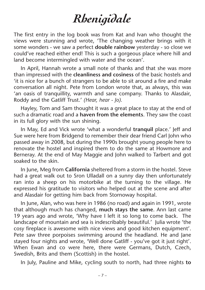# *Rhenigidale*

The first entry in the log book was from Kat and Ivan who thought the views were stunning and wrote, 'The changing weather brings with it some wonders - we saw a perfect **double rainbow** yesterday - so close we could've reached either end! This is such a gorgeous place where hill and land become intermingled with water and the ocean'.

In April, Hannah wrote a small note of thanks and that she was more than impressed with the **cleanliness and cosiness** of the basic hostels and 'it is nice for a bunch of strangers to be able to sit around a fire and make conversation all night. Pete from London wrote that, as always, this was 'an oasis of tranquillity, warmth and sane company. Thanks to Alasdair, Roddy and the Gatliff Trust.' *(Hear, hear - Jo).*

Hayley, Tom and Sam thought it was a great place to stay at the end of such a dramatic road and a **haven from the elements**. They saw the coast in its full glory with the sun shining.

In May, Ed and Vick wrote 'what a wonderful **tranquil** place.' Jeff and Sue were here from Bridgend to remember their dear friend Carl John who passed away in 2008, but during the 1990s brought young people here to renovate the hostel and inspired them to do the same at Howmore and Berneray. At the end of May Maggie and John walked to Tarbert and got soaked to the skin.

In June, Meg from **California** sheltered from a storm in the hostel. Steve had a great walk out to Sron Ulladall on a sunny day then unfortunately ran into a sheep on his motorbike at the turning to the village. He expressed his gratitude to visitors who helped out at the scene and after and Alasdair for getting him back from Stornoway hospital.

In June, Alan, who was here in 1986 (no road) and again in 1991, wrote that although much has changed, **much stays the same**. Ann last came 19 years ago and wrote, 'Why have I left it so long to come back. The landscape of mountain and sea is indescribably beautiful.' Julia wrote 'the cosy fireplace is awesome with nice views and good kitchen equipment'. Pete saw three porpoises swimming around the headland. He and Jane stayed four nights and wrote, 'Well done Gatliff - you've got it just right'. When Ewan and co were here, there were Germans, Dutch, Czech, Swedish, Brits and them (Scottish) in the hostel.

In July, Pauline and Mike, cycling south to north, had three nights **to**